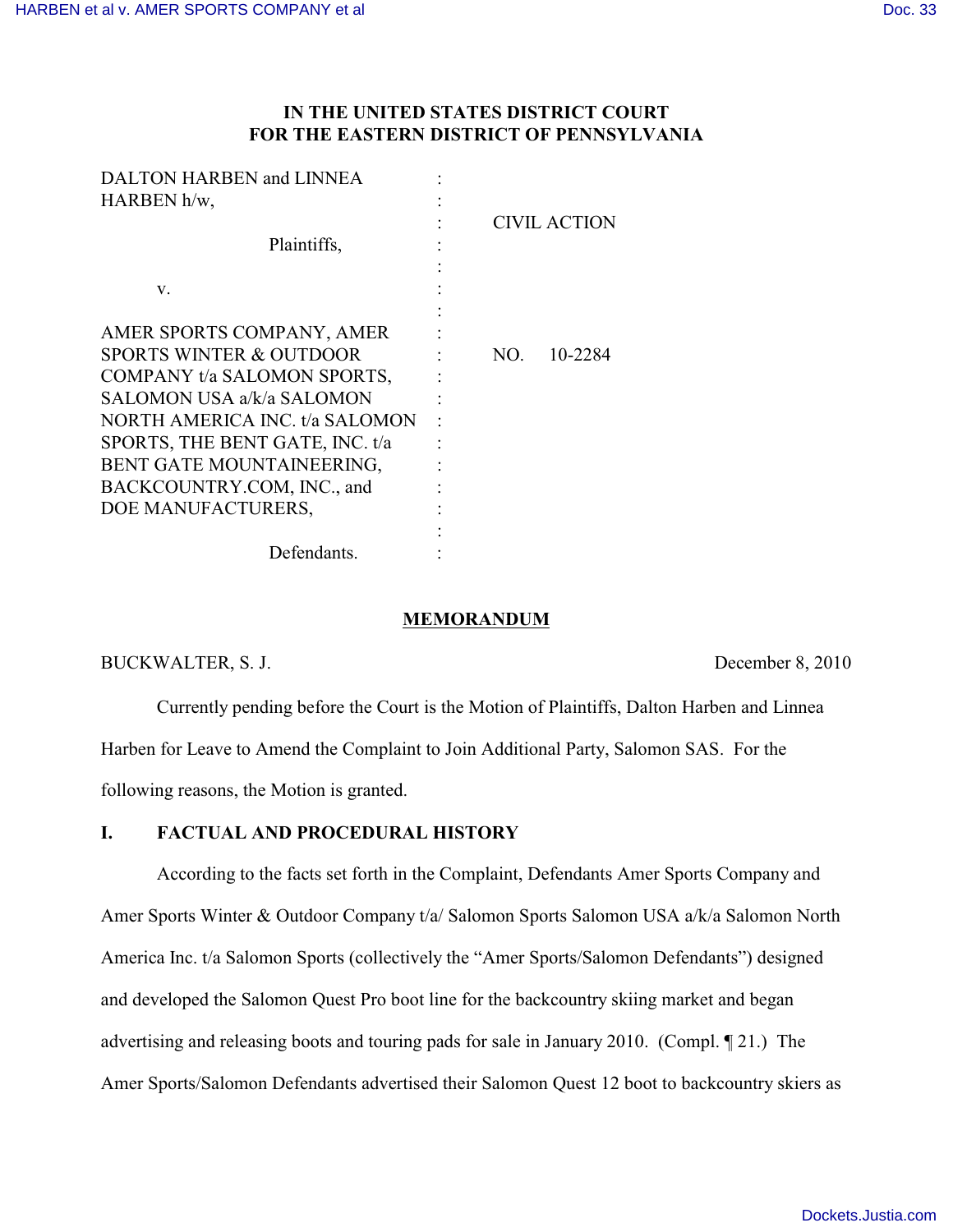# **IN THE UNITED STATES DISTRICT COURT FOR THE EASTERN DISTRICT OF PENNSYLVANIA**

| CIVIL ACTION   |
|----------------|
|                |
|                |
|                |
|                |
|                |
| 10-2284<br>NO. |
|                |
|                |
|                |
|                |
|                |
|                |
|                |
|                |
|                |
|                |

### **MEMORANDUM**

BUCKWALTER, S. J. December 8, 2010

Currently pending before the Court is the Motion of Plaintiffs, Dalton Harben and Linnea Harben for Leave to Amend the Complaint to Join Additional Party, Salomon SAS. For the following reasons, the Motion is granted.

# **I. FACTUAL AND PROCEDURAL HISTORY**

According to the facts set forth in the Complaint, Defendants Amer Sports Company and Amer Sports Winter & Outdoor Company t/a/ Salomon Sports Salomon USA a/k/a Salomon North America Inc. t/a Salomon Sports (collectively the "Amer Sports/Salomon Defendants") designed and developed the Salomon Quest Pro boot line for the backcountry skiing market and began advertising and releasing boots and touring pads for sale in January 2010. (Compl. ¶ 21.) The Amer Sports/Salomon Defendants advertised their Salomon Quest 12 boot to backcountry skiers as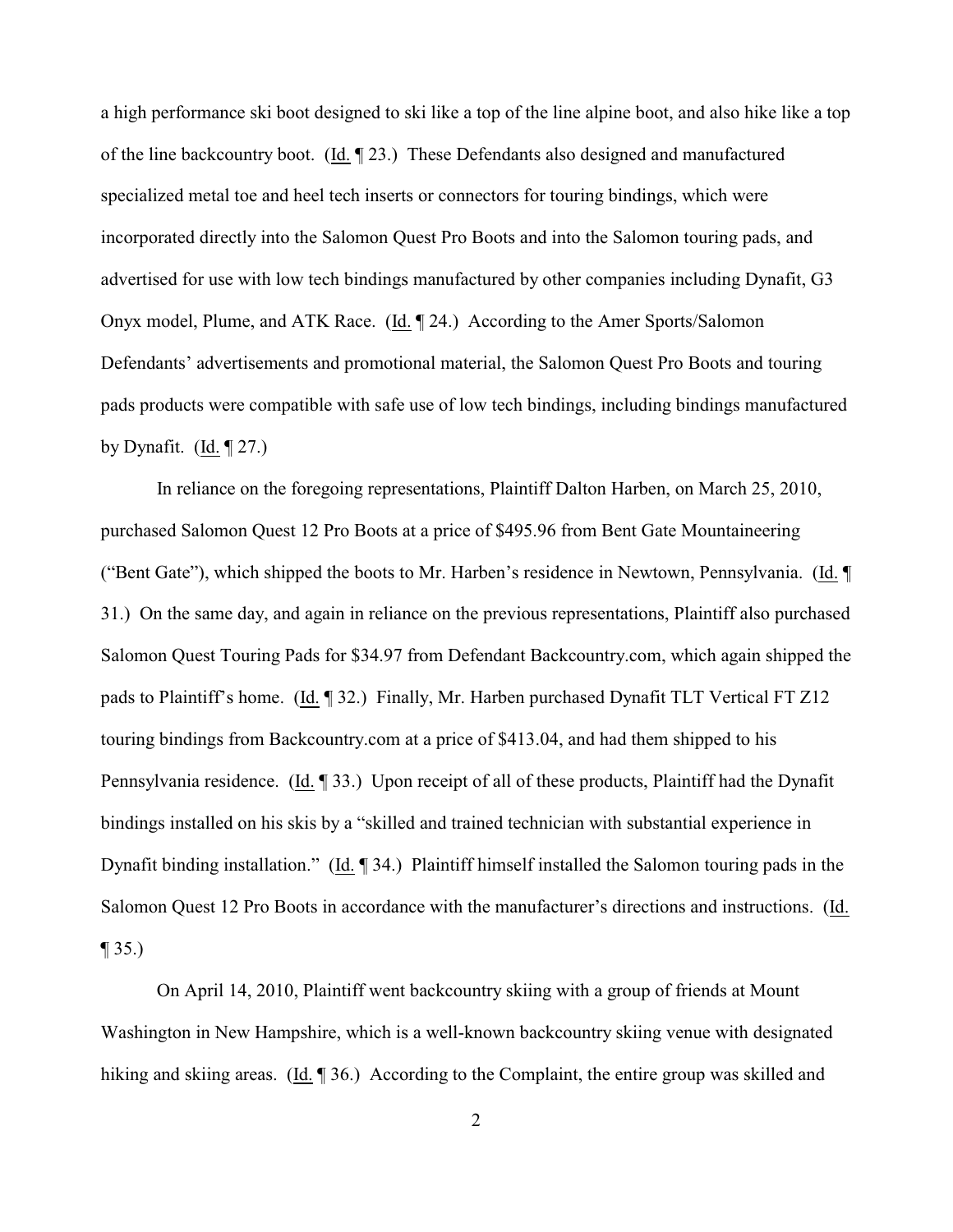a high performance ski boot designed to ski like a top of the line alpine boot, and also hike like a top of the line backcountry boot. (Id. ¶ 23.) These Defendants also designed and manufactured specialized metal toe and heel tech inserts or connectors for touring bindings, which were incorporated directly into the Salomon Quest Pro Boots and into the Salomon touring pads, and advertised for use with low tech bindings manufactured by other companies including Dynafit, G3 Onyx model, Plume, and ATK Race. (Id. ¶ 24.) According to the Amer Sports/Salomon Defendants' advertisements and promotional material, the Salomon Quest Pro Boots and touring pads products were compatible with safe use of low tech bindings, including bindings manufactured by Dynafit. (Id.  $\P$  27.)

In reliance on the foregoing representations, Plaintiff Dalton Harben, on March 25, 2010, purchased Salomon Quest 12 Pro Boots at a price of \$495.96 from Bent Gate Mountaineering ("Bent Gate"), which shipped the boots to Mr. Harben's residence in Newtown, Pennsylvania. (Id. ¶ 31.) On the same day, and again in reliance on the previous representations, Plaintiff also purchased Salomon Quest Touring Pads for \$34.97 from Defendant Backcountry.com, which again shipped the pads to Plaintiff's home. (Id. ¶ 32.) Finally, Mr. Harben purchased Dynafit TLT Vertical FT Z12 touring bindings from Backcountry.com at a price of \$413.04, and had them shipped to his Pennsylvania residence. (Id. ¶ 33.) Upon receipt of all of these products, Plaintiff had the Dynafit bindings installed on his skis by a "skilled and trained technician with substantial experience in Dynafit binding installation." (Id. ¶ 34.) Plaintiff himself installed the Salomon touring pads in the Salomon Quest 12 Pro Boots in accordance with the manufacturer's directions and instructions. (Id.  $\P$  35.)

On April 14, 2010, Plaintiff went backcountry skiing with a group of friends at Mount Washington in New Hampshire, which is a well-known backcountry skiing venue with designated hiking and skiing areas. (Id. 1 36.) According to the Complaint, the entire group was skilled and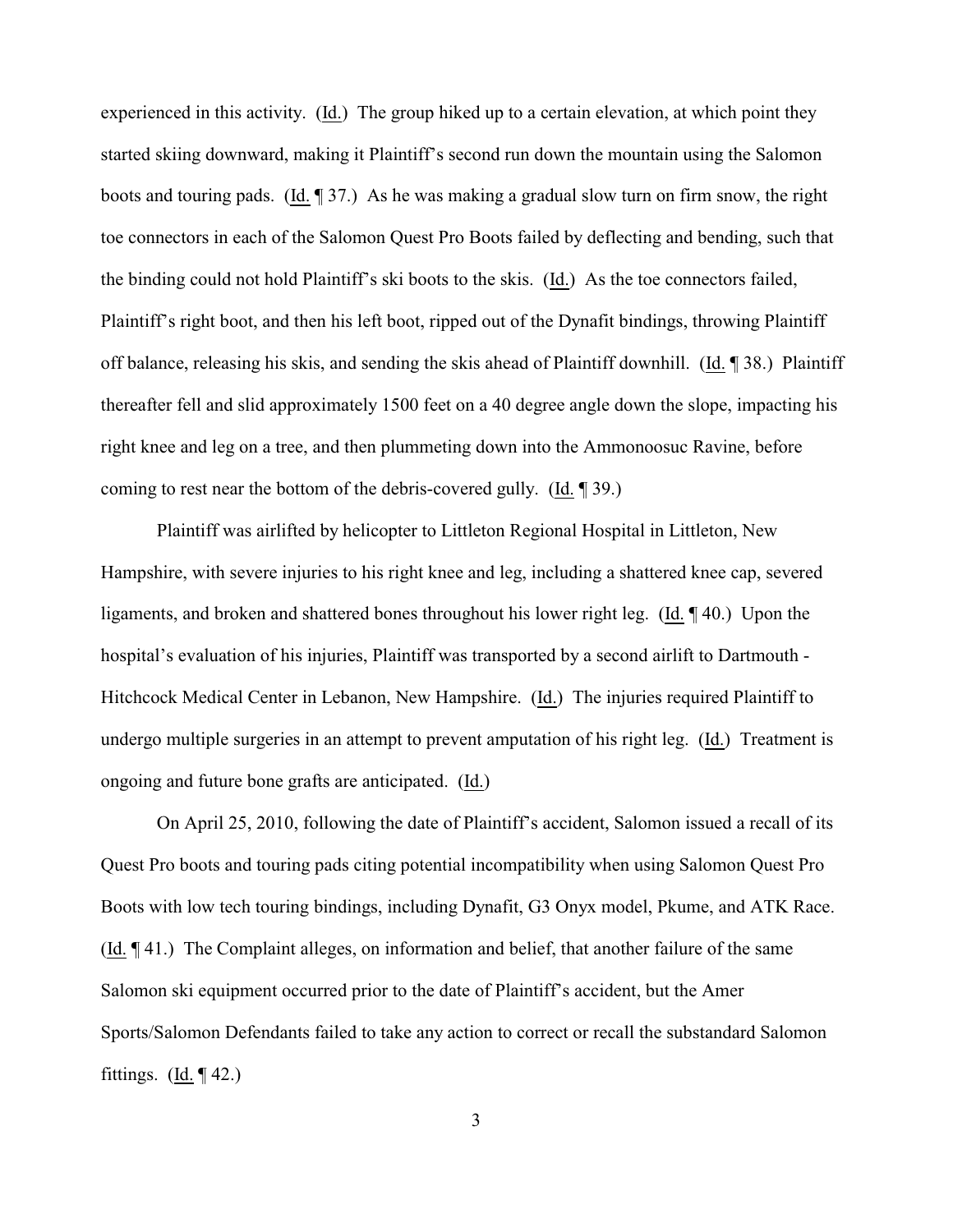experienced in this activity. (Id.) The group hiked up to a certain elevation, at which point they started skiing downward, making it Plaintiff's second run down the mountain using the Salomon boots and touring pads. (Id. ¶ 37.) As he was making a gradual slow turn on firm snow, the right toe connectors in each of the Salomon Quest Pro Boots failed by deflecting and bending, such that the binding could not hold Plaintiff's ski boots to the skis. (Id.) As the toe connectors failed, Plaintiff's right boot, and then his left boot, ripped out of the Dynafit bindings, throwing Plaintiff off balance, releasing his skis, and sending the skis ahead of Plaintiff downhill. (Id. ¶ 38.) Plaintiff thereafter fell and slid approximately 1500 feet on a 40 degree angle down the slope, impacting his right knee and leg on a tree, and then plummeting down into the Ammonoosuc Ravine, before coming to rest near the bottom of the debris-covered gully. (Id. ¶ 39.)

Plaintiff was airlifted by helicopter to Littleton Regional Hospital in Littleton, New Hampshire, with severe injuries to his right knee and leg, including a shattered knee cap, severed ligaments, and broken and shattered bones throughout his lower right leg. (Id. ¶ 40.) Upon the hospital's evaluation of his injuries, Plaintiff was transported by a second airlift to Dartmouth - Hitchcock Medical Center in Lebanon, New Hampshire. (Id.) The injuries required Plaintiff to undergo multiple surgeries in an attempt to prevent amputation of his right leg. (Id.) Treatment is ongoing and future bone grafts are anticipated. (Id.)

On April 25, 2010, following the date of Plaintiff's accident, Salomon issued a recall of its Quest Pro boots and touring pads citing potential incompatibility when using Salomon Quest Pro Boots with low tech touring bindings, including Dynafit, G3 Onyx model, Pkume, and ATK Race. (Id. ¶ 41.) The Complaint alleges, on information and belief, that another failure of the same Salomon ski equipment occurred prior to the date of Plaintiff's accident, but the Amer Sports/Salomon Defendants failed to take any action to correct or recall the substandard Salomon fittings.  $(Id. \P 42.)$ 

3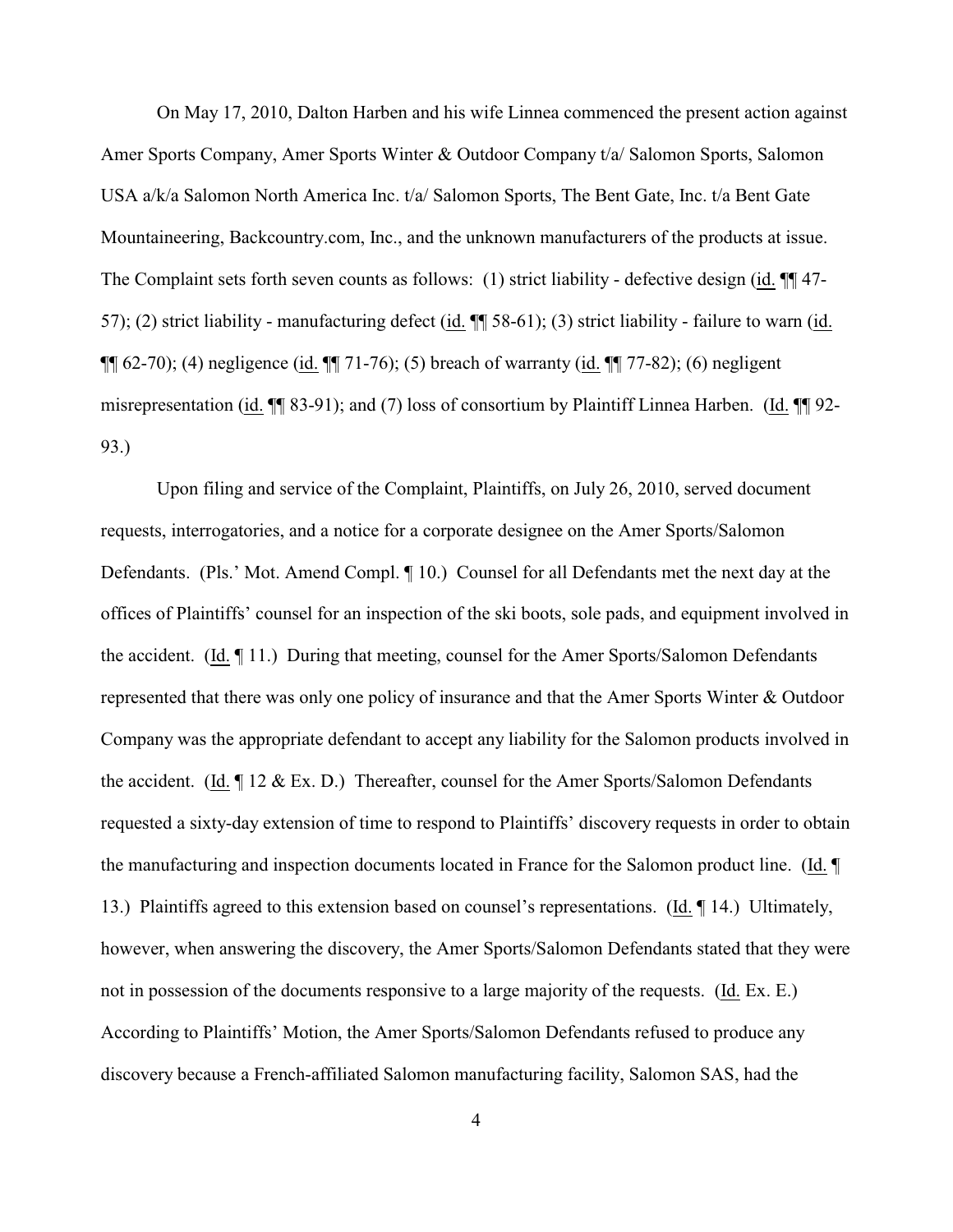On May 17, 2010, Dalton Harben and his wife Linnea commenced the present action against Amer Sports Company, Amer Sports Winter & Outdoor Company t/a/ Salomon Sports, Salomon USA a/k/a Salomon North America Inc. t/a/ Salomon Sports, The Bent Gate, Inc. t/a Bent Gate Mountaineering, Backcountry.com, Inc., and the unknown manufacturers of the products at issue. The Complaint sets forth seven counts as follows: (1) strict liability - defective design (id.  $\P$  47-57); (2) strict liability - manufacturing defect (id. ¶¶ 58-61); (3) strict liability - failure to warn (id. ¶¶ 62-70); (4) negligence (id. ¶¶ 71-76); (5) breach of warranty (id. ¶¶ 77-82); (6) negligent misrepresentation (id. ¶¶ 83-91); and (7) loss of consortium by Plaintiff Linnea Harben. (Id. ¶¶ 92- 93.)

Upon filing and service of the Complaint, Plaintiffs, on July 26, 2010, served document requests, interrogatories, and a notice for a corporate designee on the Amer Sports/Salomon Defendants. (Pls.' Mot. Amend Compl. ¶ 10.) Counsel for all Defendants met the next day at the offices of Plaintiffs' counsel for an inspection of the ski boots, sole pads, and equipment involved in the accident. (Id. ¶ 11.) During that meeting, counsel for the Amer Sports/Salomon Defendants represented that there was only one policy of insurance and that the Amer Sports Winter & Outdoor Company was the appropriate defendant to accept any liability for the Salomon products involved in the accident. (Id.  $\P$  12 & Ex. D.) Thereafter, counsel for the Amer Sports/Salomon Defendants requested a sixty-day extension of time to respond to Plaintiffs' discovery requests in order to obtain the manufacturing and inspection documents located in France for the Salomon product line. (Id. ¶ 13.) Plaintiffs agreed to this extension based on counsel's representations. (Id. ¶ 14.) Ultimately, however, when answering the discovery, the Amer Sports/Salomon Defendants stated that they were not in possession of the documents responsive to a large majority of the requests. (Id. Ex. E.) According to Plaintiffs' Motion, the Amer Sports/Salomon Defendants refused to produce any discovery because a French-affiliated Salomon manufacturing facility, Salomon SAS, had the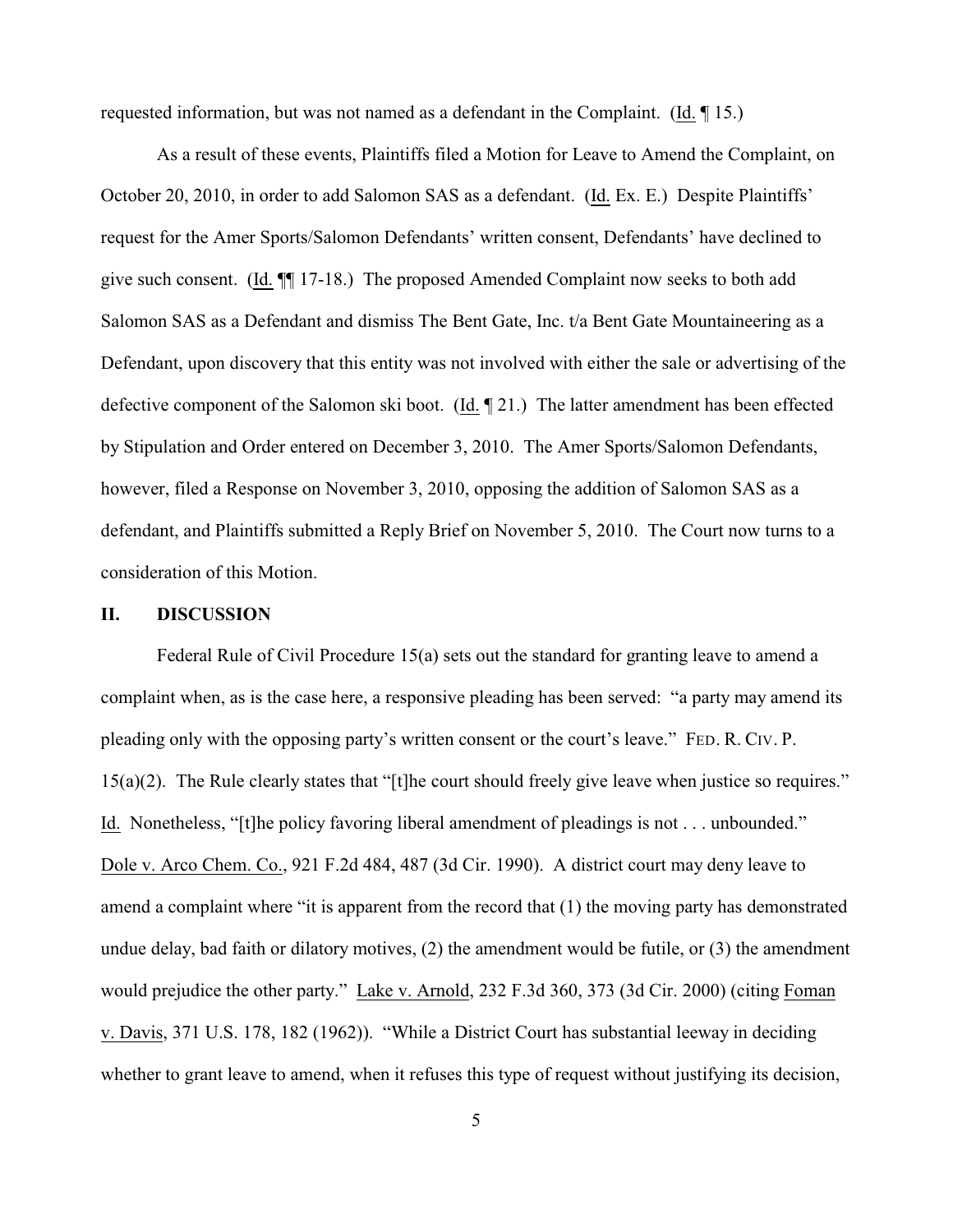requested information, but was not named as a defendant in the Complaint. (Id. ¶ 15.)

As a result of these events, Plaintiffs filed a Motion for Leave to Amend the Complaint, on October 20, 2010, in order to add Salomon SAS as a defendant. (Id. Ex. E.) Despite Plaintiffs' request for the Amer Sports/Salomon Defendants' written consent, Defendants' have declined to give such consent. (Id. ¶¶ 17-18.) The proposed Amended Complaint now seeks to both add Salomon SAS as a Defendant and dismiss The Bent Gate, Inc. t/a Bent Gate Mountaineering as a Defendant, upon discovery that this entity was not involved with either the sale or advertising of the defective component of the Salomon ski boot. (Id. ¶ 21.) The latter amendment has been effected by Stipulation and Order entered on December 3, 2010. The Amer Sports/Salomon Defendants, however, filed a Response on November 3, 2010, opposing the addition of Salomon SAS as a defendant, and Plaintiffs submitted a Reply Brief on November 5, 2010. The Court now turns to a consideration of this Motion.

#### **II. DISCUSSION**

Federal Rule of Civil Procedure 15(a) sets out the standard for granting leave to amend a complaint when, as is the case here, a responsive pleading has been served: "a party may amend its pleading only with the opposing party's written consent or the court's leave." FED. R. CIV. P. 15(a)(2). The Rule clearly states that "[t]he court should freely give leave when justice so requires." Id. Nonetheless, "[t]he policy favoring liberal amendment of pleadings is not . . . unbounded." Dole v. Arco Chem. Co., 921 F.2d 484, 487 (3d Cir. 1990). A district court may deny leave to amend a complaint where "it is apparent from the record that (1) the moving party has demonstrated undue delay, bad faith or dilatory motives, (2) the amendment would be futile, or (3) the amendment would prejudice the other party." Lake v. Arnold, 232 F.3d 360, 373 (3d Cir. 2000) (citing Foman v. Davis, 371 U.S. 178, 182 (1962)). "While a District Court has substantial leeway in deciding whether to grant leave to amend, when it refuses this type of request without justifying its decision,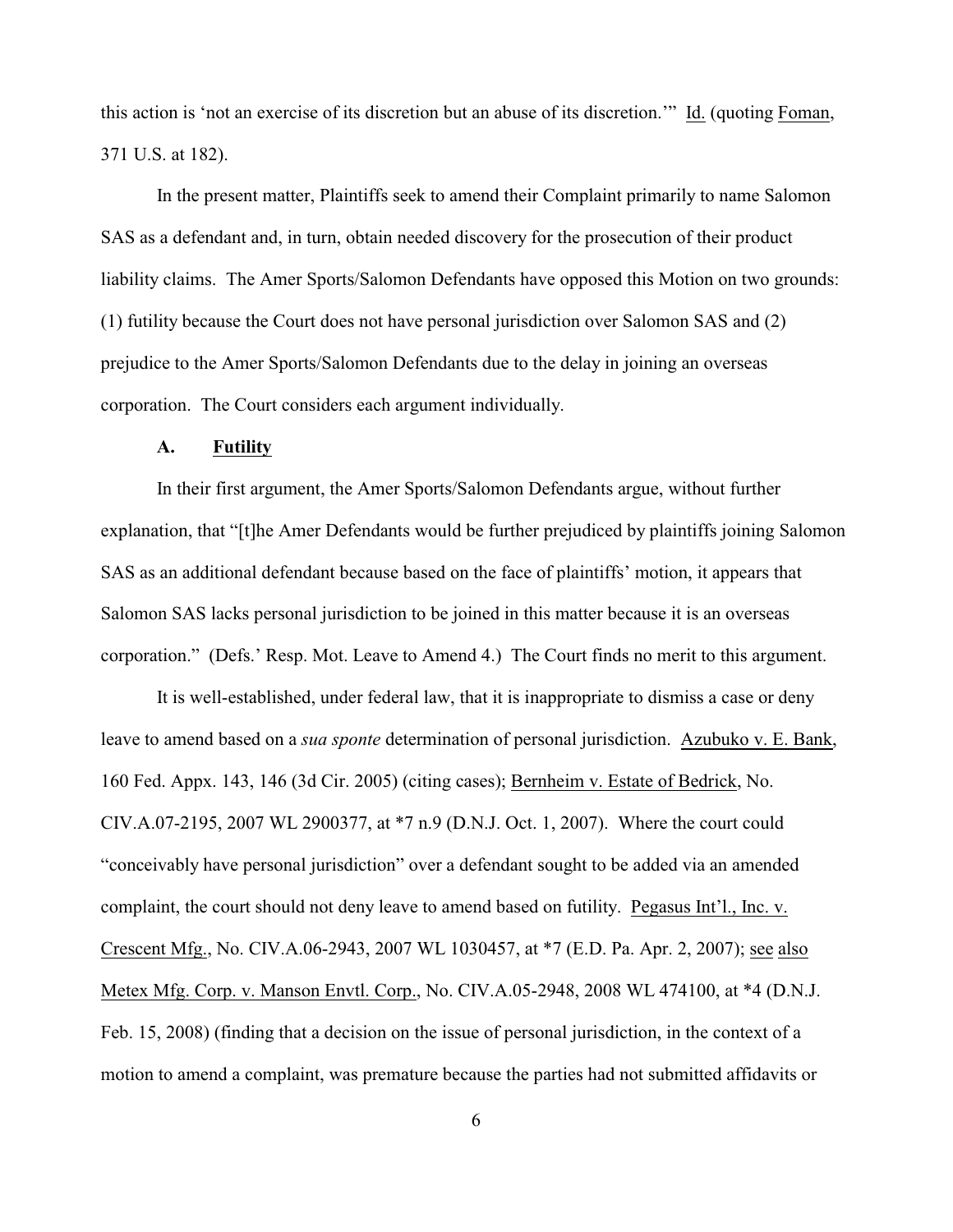this action is 'not an exercise of its discretion but an abuse of its discretion.'" Id. (quoting Foman, 371 U.S. at 182).

In the present matter, Plaintiffs seek to amend their Complaint primarily to name Salomon SAS as a defendant and, in turn, obtain needed discovery for the prosecution of their product liability claims. The Amer Sports/Salomon Defendants have opposed this Motion on two grounds: (1) futility because the Court does not have personal jurisdiction over Salomon SAS and (2) prejudice to the Amer Sports/Salomon Defendants due to the delay in joining an overseas corporation. The Court considers each argument individually.

## **A. Futility**

In their first argument, the Amer Sports/Salomon Defendants argue, without further explanation, that "[t]he Amer Defendants would be further prejudiced by plaintiffs joining Salomon SAS as an additional defendant because based on the face of plaintiffs' motion, it appears that Salomon SAS lacks personal jurisdiction to be joined in this matter because it is an overseas corporation." (Defs.' Resp. Mot. Leave to Amend 4.) The Court finds no merit to this argument.

It is well-established, under federal law, that it is inappropriate to dismiss a case or deny leave to amend based on a *sua sponte* determination of personal jurisdiction. Azubuko v. E. Bank, 160 Fed. Appx. 143, 146 (3d Cir. 2005) (citing cases); Bernheim v. Estate of Bedrick, No. CIV.A.07-2195, 2007 WL 2900377, at \*7 n.9 (D.N.J. Oct. 1, 2007). Where the court could "conceivably have personal jurisdiction" over a defendant sought to be added via an amended complaint, the court should not deny leave to amend based on futility. Pegasus Int'l., Inc. v. Crescent Mfg., No. CIV.A.06-2943, 2007 WL 1030457, at \*7 (E.D. Pa. Apr. 2, 2007); see also Metex Mfg. Corp. v. Manson Envtl. Corp., No. CIV.A.05-2948, 2008 WL 474100, at \*4 (D.N.J. Feb. 15, 2008) (finding that a decision on the issue of personal jurisdiction, in the context of a motion to amend a complaint, was premature because the parties had not submitted affidavits or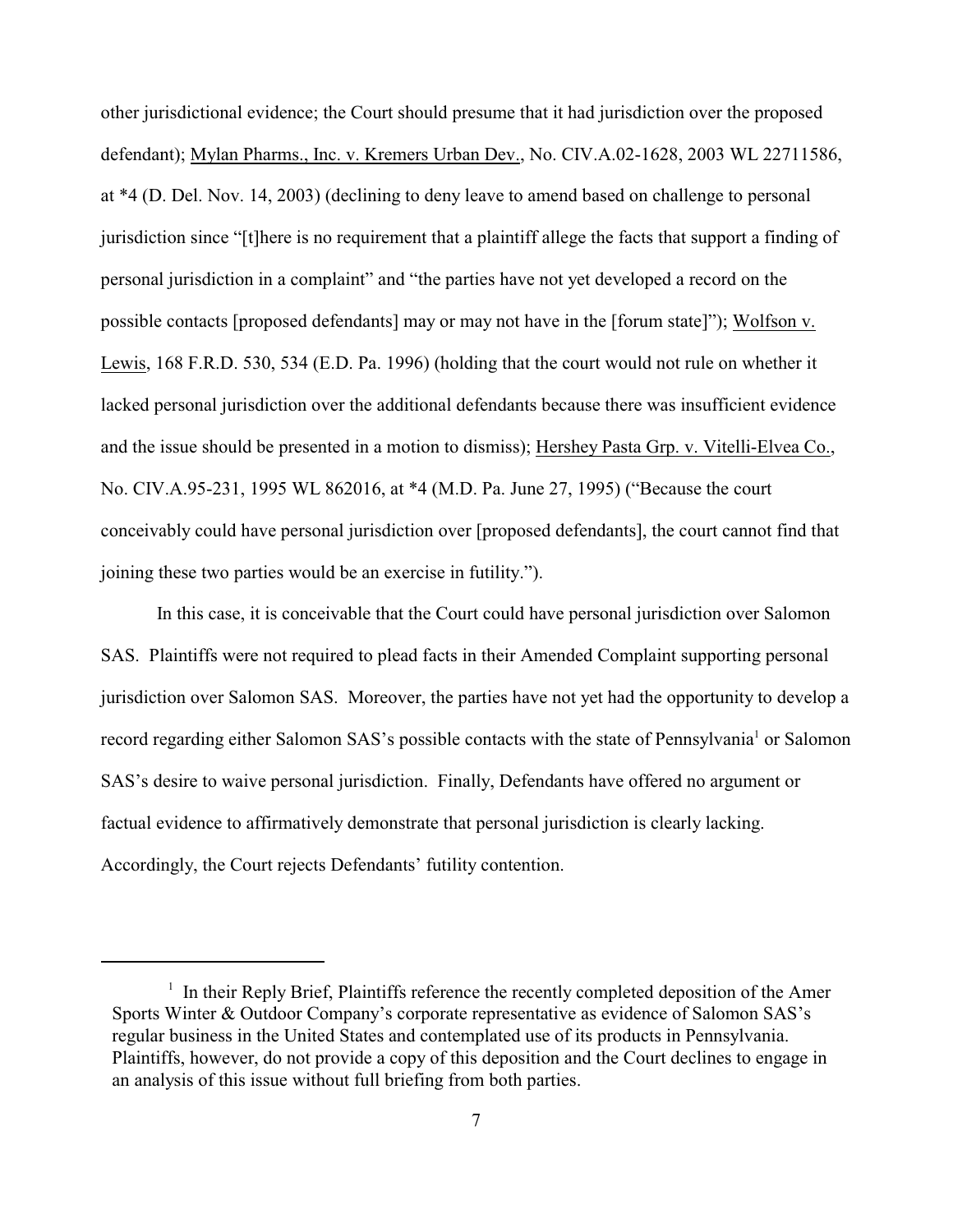other jurisdictional evidence; the Court should presume that it had jurisdiction over the proposed defendant); Mylan Pharms., Inc. v. Kremers Urban Dev., No. CIV.A.02-1628, 2003 WL 22711586, at \*4 (D. Del. Nov. 14, 2003) (declining to deny leave to amend based on challenge to personal jurisdiction since "[t]here is no requirement that a plaintiff allege the facts that support a finding of personal jurisdiction in a complaint" and "the parties have not yet developed a record on the possible contacts [proposed defendants] may or may not have in the [forum state]"); Wolfson v. Lewis, 168 F.R.D. 530, 534 (E.D. Pa. 1996) (holding that the court would not rule on whether it lacked personal jurisdiction over the additional defendants because there was insufficient evidence and the issue should be presented in a motion to dismiss); Hershey Pasta Grp. v. Vitelli-Elvea Co., No. CIV.A.95-231, 1995 WL 862016, at \*4 (M.D. Pa. June 27, 1995) ("Because the court conceivably could have personal jurisdiction over [proposed defendants], the court cannot find that joining these two parties would be an exercise in futility.").

In this case, it is conceivable that the Court could have personal jurisdiction over Salomon SAS. Plaintiffs were not required to plead facts in their Amended Complaint supporting personal jurisdiction over Salomon SAS. Moreover, the parties have not yet had the opportunity to develop a record regarding either Salomon SAS's possible contacts with the state of Pennsylvania<sup>1</sup> or Salomon SAS's desire to waive personal jurisdiction. Finally, Defendants have offered no argument or factual evidence to affirmatively demonstrate that personal jurisdiction is clearly lacking. Accordingly, the Court rejects Defendants' futility contention.

 $\frac{1}{1}$  In their Reply Brief, Plaintiffs reference the recently completed deposition of the Amer Sports Winter & Outdoor Company's corporate representative as evidence of Salomon SAS's regular business in the United States and contemplated use of its products in Pennsylvania. Plaintiffs, however, do not provide a copy of this deposition and the Court declines to engage in an analysis of this issue without full briefing from both parties.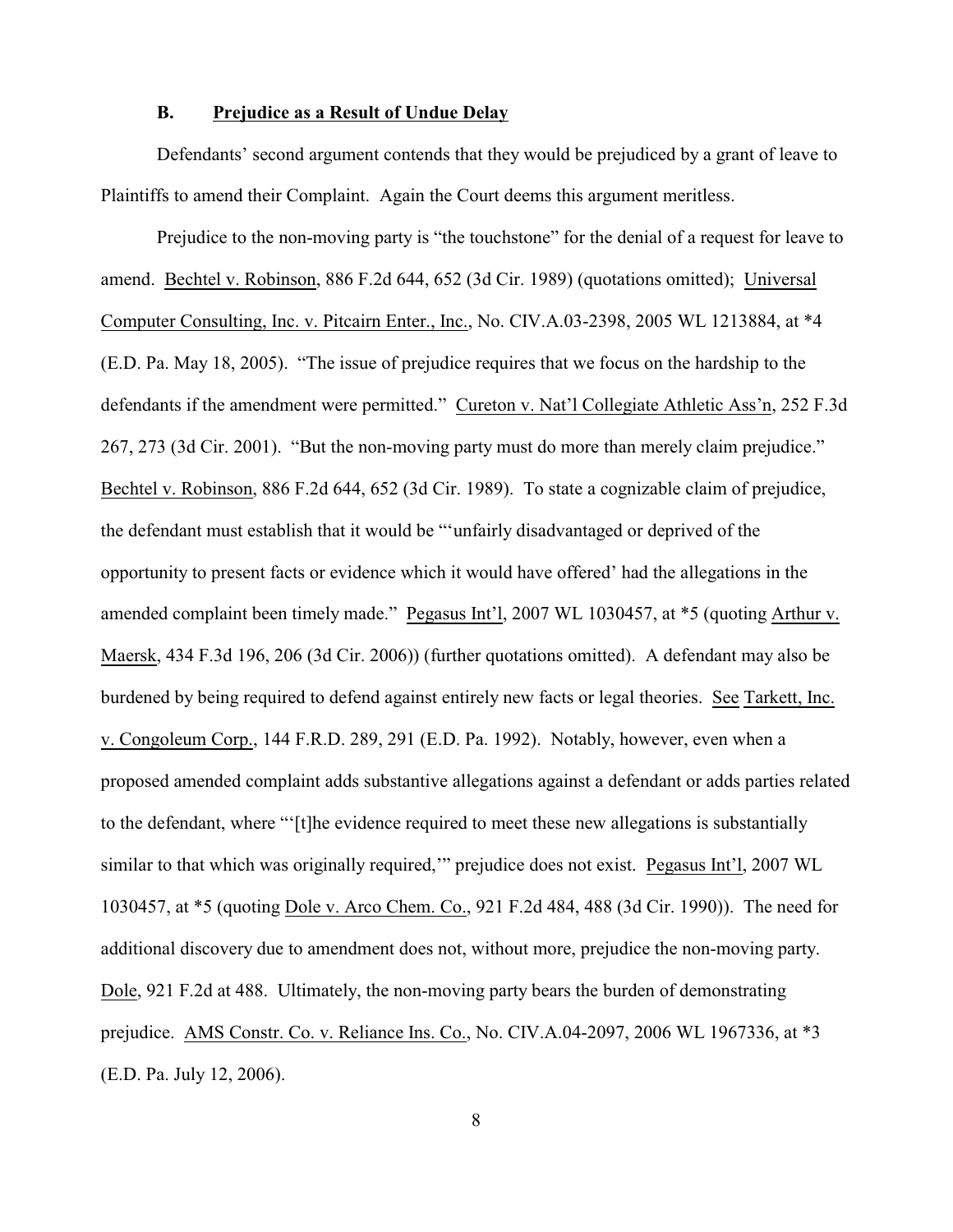### **B. Prejudice as a Result of Undue Delay**

Defendants' second argument contends that they would be prejudiced by a grant of leave to Plaintiffs to amend their Complaint. Again the Court deems this argument meritless.

Prejudice to the non-moving party is "the touchstone" for the denial of a request for leave to amend. Bechtel v. Robinson, 886 F.2d 644, 652 (3d Cir. 1989) (quotations omitted); Universal Computer Consulting, Inc. v. Pitcairn Enter., Inc., No. CIV.A.03-2398, 2005 WL 1213884, at \*4 (E.D. Pa. May 18, 2005). "The issue of prejudice requires that we focus on the hardship to the defendants if the amendment were permitted." Cureton v. Nat'l Collegiate Athletic Ass'n, 252 F.3d 267, 273 (3d Cir. 2001). "But the non-moving party must do more than merely claim prejudice." Bechtel v. Robinson, 886 F.2d 644, 652 (3d Cir. 1989). To state a cognizable claim of prejudice, the defendant must establish that it would be "'unfairly disadvantaged or deprived of the opportunity to present facts or evidence which it would have offered' had the allegations in the amended complaint been timely made." Pegasus Int'l, 2007 WL 1030457, at \*5 (quoting Arthur v. Maersk, 434 F.3d 196, 206 (3d Cir. 2006)) (further quotations omitted). A defendant may also be burdened by being required to defend against entirely new facts or legal theories. See Tarkett, Inc. v. Congoleum Corp., 144 F.R.D. 289, 291 (E.D. Pa. 1992). Notably, however, even when a proposed amended complaint adds substantive allegations against a defendant or adds parties related to the defendant, where "'[t]he evidence required to meet these new allegations is substantially similar to that which was originally required,'" prejudice does not exist. Pegasus Int'l, 2007 WL 1030457, at \*5 (quoting Dole v. Arco Chem. Co., 921 F.2d 484, 488 (3d Cir. 1990)). The need for additional discovery due to amendment does not, without more, prejudice the non-moving party. Dole, 921 F.2d at 488. Ultimately, the non-moving party bears the burden of demonstrating prejudice. AMS Constr. Co. v. Reliance Ins. Co., No. CIV.A.04-2097, 2006 WL 1967336, at \*3 (E.D. Pa. July 12, 2006).